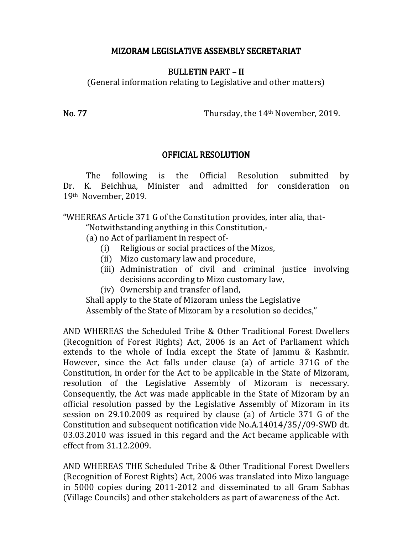## MIZORAM LEGISLATIVE ASSEMBLY SECRETARIAT

## BULLETIN PART – BULLETIN PART –II

(General information relating to Legislative and other matters)

No. 77 Thursday, the 14<sup>th</sup> November, 2019.

## **OFFICIAL RESOLUTION**

 The following is the Official Resolution submitted by Dr. K. Beichhua, Minister and admitted for consideration on 19th November, 2019.

"WHEREAS Article 371 G of the Constitution provides, inter alia, that-

"Notwithstanding anything in this Constitution,-

(a) no Act of parliament in respect of-

- (i) Religious or social practices of the Mizos,
- (ii) Mizo customary law and procedure,
- (iii) Administration of civil and criminal justice involving decisions according to Mizo customary law,
- (iv) Ownership and transfer of land,

 Shall apply to the State of Mizoram unless the Legislative Assembly of the State of Mizoram by a resolution so decides,"

AND WHEREAS the Scheduled Tribe & Other Traditional Forest Dwellers (Recognition of Forest Rights) Act, 2006 is an Act of Parliament which extends to the whole of India except the State of Jammu & Kashmir. However, since the Act falls under clause (a) of article 371G of the Constitution, in order for the Act to be applicable in the State of Mizoram, resolution of the Legislative Assembly of Mizoram is necessary. Consequently, the Act was made applicable in the State of Mizoram by an official resolution passed by the Legislative Assembly of Mizoram in its session on 29.10.2009 as required by clause (a) of Article 371 G of the Constitution and subsequent notification vide No.A.14014/35//09-SWD dt. 03.03.2010 was issued in this regard and the Act became applicable with effect from 31.12.2009.

AND WHEREAS THE Scheduled Tribe & Other Traditional Forest Dwellers (Recognition of Forest Rights) Act, 2006 was translated into Mizo language in 5000 copies during 2011-2012 and disseminated to all Gram Sabhas (Village Councils) and other stakeholders as part of awareness of the Act.